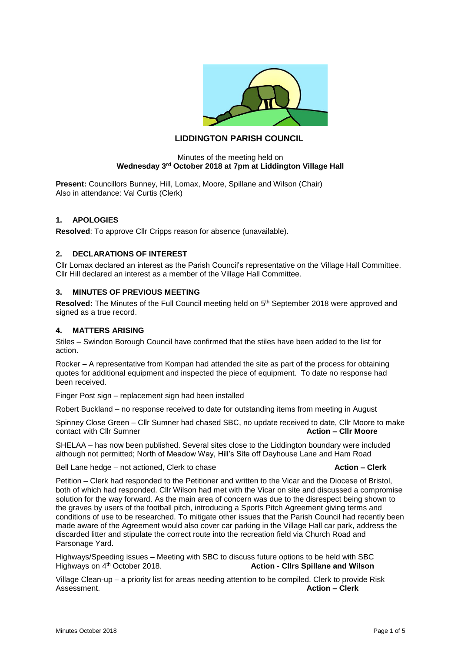

# **LIDDINGTON PARISH COUNCIL**

#### Minutes of the meeting held on **Wednesday 3rd October 2018 at 7pm at Liddington Village Hall**

**Present:** Councillors Bunney, Hill, Lomax, Moore, Spillane and Wilson (Chair) Also in attendance: Val Curtis (Clerk)

## **1. APOLOGIES**

**Resolved**: To approve Cllr Cripps reason for absence (unavailable).

#### **2. DECLARATIONS OF INTEREST**

Cllr Lomax declared an interest as the Parish Council's representative on the Village Hall Committee. Cllr Hill declared an interest as a member of the Village Hall Committee.

#### **3. MINUTES OF PREVIOUS MEETING**

**Resolved:** The Minutes of the Full Council meeting held on 5<sup>th</sup> September 2018 were approved and signed as a true record.

#### **4. MATTERS ARISING**

Stiles – Swindon Borough Council have confirmed that the stiles have been added to the list for action.

Rocker – A representative from Kompan had attended the site as part of the process for obtaining quotes for additional equipment and inspected the piece of equipment. To date no response had been received.

Finger Post sign – replacement sign had been installed

Robert Buckland – no response received to date for outstanding items from meeting in August

Spinney Close Green – Cllr Sumner had chased SBC, no update received to date, Cllr Moore to make contact with Cllr Sumner  $\frac{1}{2}$  contact with Cllr Sumner

SHELAA – has now been published. Several sites close to the Liddington boundary were included although not permitted; North of Meadow Way, Hill's Site off Dayhouse Lane and Ham Road

Bell Lane hedge – not actioned, Clerk to chase **Action – Clerk**

Petition – Clerk had responded to the Petitioner and written to the Vicar and the Diocese of Bristol, both of which had responded. Cllr Wilson had met with the Vicar on site and discussed a compromise solution for the way forward. As the main area of concern was due to the disrespect being shown to the graves by users of the football pitch, introducing a Sports Pitch Agreement giving terms and conditions of use to be researched. To mitigate other issues that the Parish Council had recently been made aware of the Agreement would also cover car parking in the Village Hall car park, address the discarded litter and stipulate the correct route into the recreation field via Church Road and Parsonage Yard.

Highways/Speeding issues – Meeting with SBC to discuss future options to be held with SBC<br>Highways on 4<sup>th</sup> October 2018.<br>**Action - Clirs Spillane and Wilson** Action - Cllrs Spillane and Wilson

Village Clean-up – a priority list for areas needing attention to be compiled. Clerk to provide Risk Assessment. **Action – Clerk**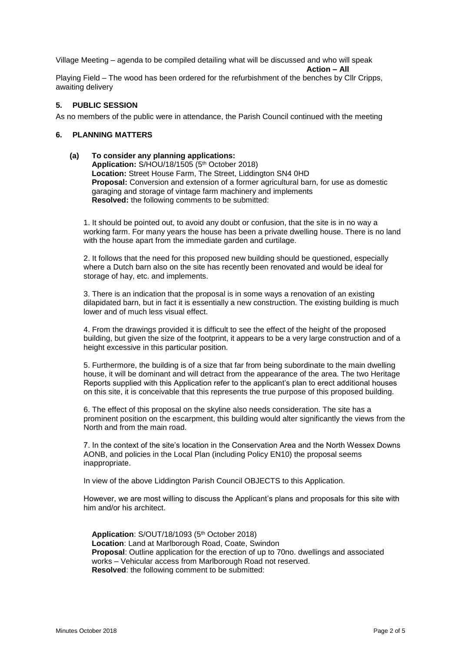Village Meeting – agenda to be compiled detailing what will be discussed and who will speak

**Action – All**

Playing Field – The wood has been ordered for the refurbishment of the benches by Cllr Cripps, awaiting delivery

## **5. PUBLIC SESSION**

As no members of the public were in attendance, the Parish Council continued with the meeting

## **6. PLANNING MATTERS**

**(a) To consider any planning applications:** Application: S/HOU/18/1505 (5<sup>th</sup> October 2018) **Location:** Street House Farm, The Street, Liddington SN4 0HD **Proposal:** Conversion and extension of a former agricultural barn, for use as domestic garaging and storage of vintage farm machinery and implements **Resolved:** the following comments to be submitted:

1. It should be pointed out, to avoid any doubt or confusion, that the site is in no way a working farm. For many years the house has been a private dwelling house. There is no land with the house apart from the immediate garden and curtilage.

2. It follows that the need for this proposed new building should be questioned, especially where a Dutch barn also on the site has recently been renovated and would be ideal for storage of hay, etc. and implements.

3. There is an indication that the proposal is in some ways a renovation of an existing dilapidated barn, but in fact it is essentially a new construction. The existing building is much lower and of much less visual effect.

4. From the drawings provided it is difficult to see the effect of the height of the proposed building, but given the size of the footprint, it appears to be a very large construction and of a height excessive in this particular position.

5. Furthermore, the building is of a size that far from being subordinate to the main dwelling house, it will be dominant and will detract from the appearance of the area. The two Heritage Reports supplied with this Application refer to the applicant's plan to erect additional houses on this site, it is conceivable that this represents the true purpose of this proposed building.

6. The effect of this proposal on the skyline also needs consideration. The site has a prominent position on the escarpment, this building would alter significantly the views from the North and from the main road.

7. In the context of the site's location in the Conservation Area and the North Wessex Downs AONB, and policies in the Local Plan (including Policy EN10) the proposal seems inappropriate.

In view of the above Liddington Parish Council OBJECTS to this Application.

However, we are most willing to discuss the Applicant's plans and proposals for this site with him and/or his architect.

Application: S/OUT/18/1093 (5<sup>th</sup> October 2018) **Location**: Land at Marlborough Road, Coate, Swindon **Proposal**: Outline application for the erection of up to 70no. dwellings and associated works – Vehicular access from Marlborough Road not reserved. **Resolved**: the following comment to be submitted: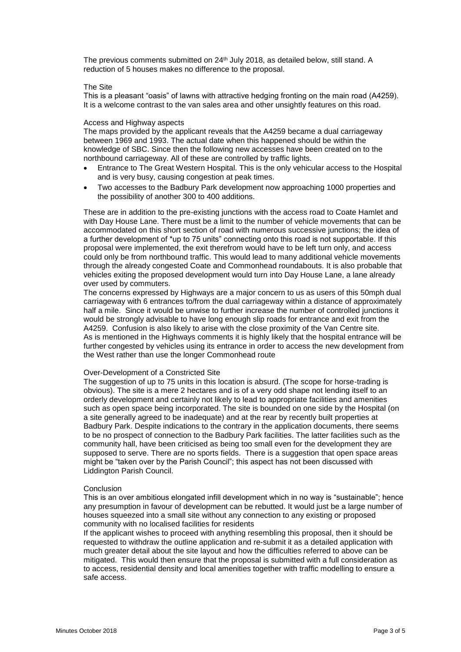The previous comments submitted on 24<sup>th</sup> July 2018, as detailed below, still stand. A reduction of 5 houses makes no difference to the proposal.

#### The Site

This is a pleasant "oasis" of lawns with attractive hedging fronting on the main road (A4259). It is a welcome contrast to the van sales area and other unsightly features on this road.

#### Access and Highway aspects

The maps provided by the applicant reveals that the A4259 became a dual carriageway between 1969 and 1993. The actual date when this happened should be within the knowledge of SBC. Since then the following new accesses have been created on to the northbound carriageway. All of these are controlled by traffic lights.

- Entrance to The Great Western Hospital. This is the only vehicular access to the Hospital and is very busy, causing congestion at peak times.
- Two accesses to the Badbury Park development now approaching 1000 properties and the possibility of another 300 to 400 additions.

These are in addition to the pre-existing junctions with the access road to Coate Hamlet and with Day House Lane. There must be a limit to the number of vehicle movements that can be accommodated on this short section of road with numerous successive junctions; the idea of a further development of \*up to 75 units" connecting onto this road is not supportable. If this proposal were implemented, the exit therefrom would have to be left turn only, and access could only be from northbound traffic. This would lead to many additional vehicle movements through the already congested Coate and Commonhead roundabouts. It is also probable that vehicles exiting the proposed development would turn into Day House Lane, a lane already over used by commuters.

The concerns expressed by Highways are a major concern to us as users of this 50mph dual carriageway with 6 entrances to/from the dual carriageway within a distance of approximately half a mile. Since it would be unwise to further increase the number of controlled junctions it would be strongly advisable to have long enough slip roads for entrance and exit from the A4259. Confusion is also likely to arise with the close proximity of the Van Centre site. As is mentioned in the Highways comments it is highly likely that the hospital entrance will be further congested by vehicles using its entrance in order to access the new development from the West rather than use the longer Commonhead route

#### Over-Development of a Constricted Site

The suggestion of up to 75 units in this location is absurd. (The scope for horse-trading is obvious). The site is a mere 2 hectares and is of a very odd shape not lending itself to an orderly development and certainly not likely to lead to appropriate facilities and amenities such as open space being incorporated. The site is bounded on one side by the Hospital (on a site generally agreed to be inadequate) and at the rear by recently built properties at Badbury Park. Despite indications to the contrary in the application documents, there seems to be no prospect of connection to the Badbury Park facilities. The latter facilities such as the community hall, have been criticised as being too small even for the development they are supposed to serve. There are no sports fields. There is a suggestion that open space areas might be "taken over by the Parish Council"; this aspect has not been discussed with Liddington Parish Council.

#### **Conclusion**

This is an over ambitious elongated infill development which in no way is "sustainable"; hence any presumption in favour of development can be rebutted. It would just be a large number of houses squeezed into a small site without any connection to any existing or proposed community with no localised facilities for residents

If the applicant wishes to proceed with anything resembling this proposal, then it should be requested to withdraw the outline application and re-submit it as a detailed application with much greater detail about the site layout and how the difficulties referred to above can be mitigated. This would then ensure that the proposal is submitted with a full consideration as to access, residential density and local amenities together with traffic modelling to ensure a safe access.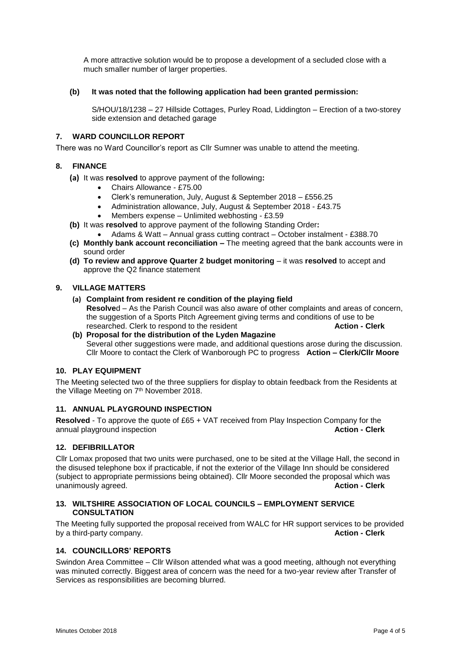A more attractive solution would be to propose a development of a secluded close with a much smaller number of larger properties.

#### **(b) It was noted that the following application had been granted permission:**

S/HOU/18/1238 – 27 Hillside Cottages, Purley Road, Liddington – Erection of a two-storey side extension and detached garage

#### **7. WARD COUNCILLOR REPORT**

There was no Ward Councillor's report as Cllr Sumner was unable to attend the meeting.

#### **8. FINANCE**

**(a)** It was **resolved** to approve payment of the following**:**

- Chairs Allowance £75.00
- Clerk's remuneration, July, August & September 2018 £556.25
- Administration allowance, July, August & September 2018 £43.75
- Members expense Unlimited webhosting £3.59
- **(b)** It was **resolved** to approve payment of the following Standing Order**:**
	- Adams & Watt Annual grass cutting contract October instalment £388.70
- **(c) Monthly bank account reconciliation –** The meeting agreed that the bank accounts were in sound order
- **(d) To review and approve Quarter 2 budget monitoring** it was **resolved** to accept and approve the Q2 finance statement

# **9. VILLAGE MATTERS**

- **(a) Complaint from resident re condition of the playing field**
- **Resolve**d As the Parish Council was also aware of other complaints and areas of concern, the suggestion of a Sports Pitch Agreement giving terms and conditions of use to be researched. Clerk to respond to the resident **Action - Clerk**
- **(b) Proposal for the distribution of the Lyden Magazine** Several other suggestions were made, and additional questions arose during the discussion. Cllr Moore to contact the Clerk of Wanborough PC to progress **Action – Clerk/Cllr Moore**

# **10. PLAY EQUIPMENT**

The Meeting selected two of the three suppliers for display to obtain feedback from the Residents at the Village Meeting on 7<sup>th</sup> November 2018.

## **11. ANNUAL PLAYGROUND INSPECTION**

**Resolved** - To approve the quote of £65 + VAT received from Play Inspection Company for the annual playground inspection annual playground inspection

## **12. DEFIBRILLATOR**

Cllr Lomax proposed that two units were purchased, one to be sited at the Village Hall, the second in the disused telephone box if practicable, if not the exterior of the Village Inn should be considered (subject to appropriate permissions being obtained). Cllr Moore seconded the proposal which was unanimously agreed. **Action - Clerk**

## **13. WILTSHIRE ASSOCIATION OF LOCAL COUNCILS – EMPLOYMENT SERVICE CONSULTATION**

The Meeting fully supported the proposal received from WALC for HR support services to be provided by a third-party company. **Action - Clerk**

#### **14. COUNCILLORS' REPORTS**

Swindon Area Committee – Cllr Wilson attended what was a good meeting, although not everything was minuted correctly. Biggest area of concern was the need for a two-year review after Transfer of Services as responsibilities are becoming blurred.